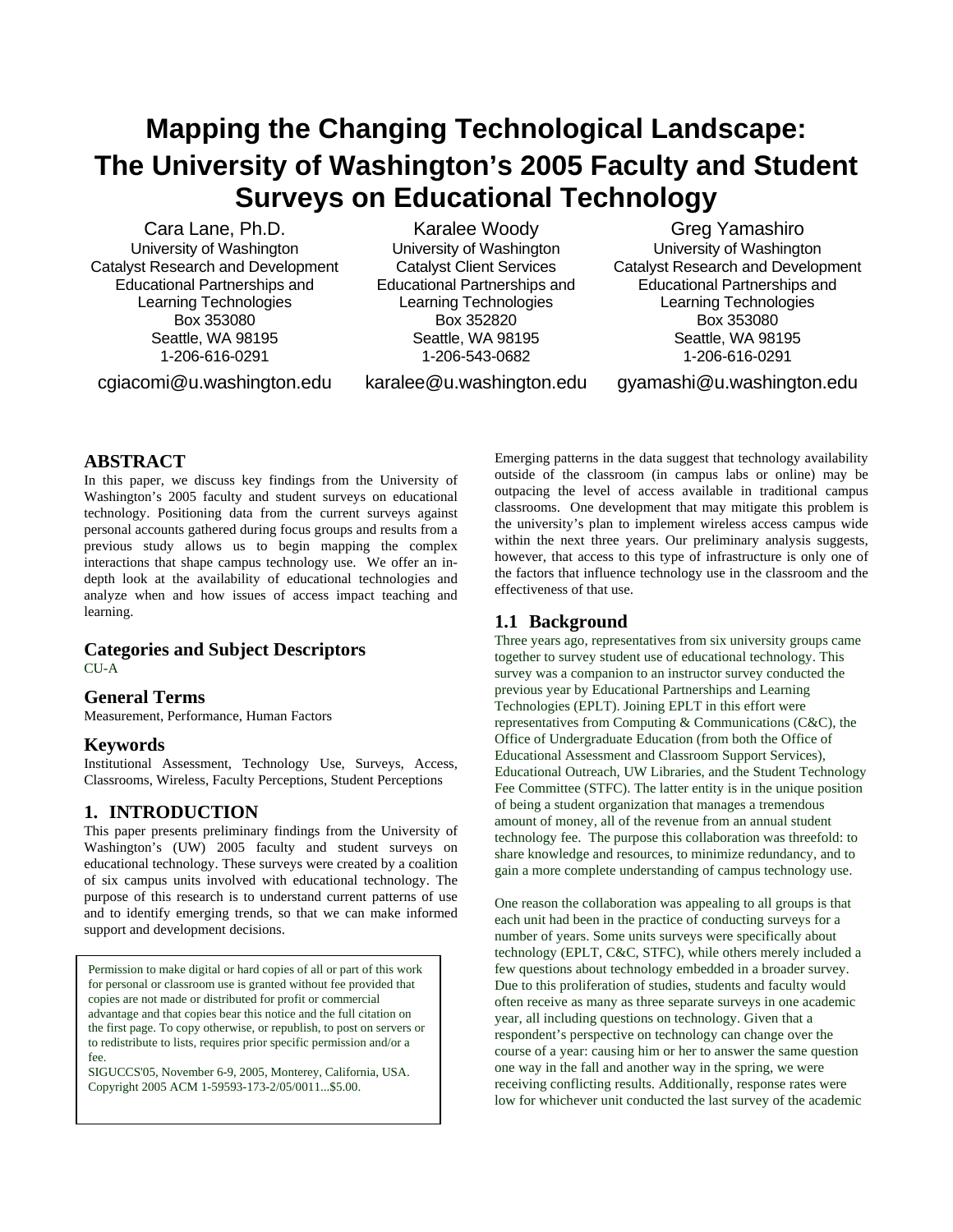# **Mapping the Changing Technological Landscape: The University of Washington's 2005 Faculty and Student Surveys on Educational Technology**

Cara Lane, Ph.D. University of Washington Catalyst Research and Development Educational Partnerships and Learning Technologies Box 353080 Seattle, WA 98195 1-206-616-0291

cgiacomi@u.washington.edu

Karalee Woody University of Washington Catalyst Client Services Educational Partnerships and Learning Technologies Box 352820 Seattle, WA 98195 1-206-543-0682

karalee@u.washington.edu

Greg Yamashiro University of Washington Catalyst Research and Development Educational Partnerships and Learning Technologies Box 353080 Seattle, WA 98195 1-206-616-0291

gyamashi@u.washington.edu

# **ABSTRACT**

In this paper, we discuss key findings from the University of Washington's 2005 faculty and student surveys on educational technology. Positioning data from the current surveys against personal accounts gathered during focus groups and results from a previous study allows us to begin mapping the complex interactions that shape campus technology use. We offer an indepth look at the availability of educational technologies and analyze when and how issues of access impact teaching and learning.

## **Categories and Subject Descriptors** CU-A

# **General Terms**

Measurement, Performance, Human Factors

# **Keywords**

Institutional Assessment, Technology Use, Surveys, Access, Classrooms, Wireless, Faculty Perceptions, Student Perceptions

# **1. INTRODUCTION**

This paper presents preliminary findings from the University of Washington's (UW) 2005 faculty and student surveys on educational technology. These surveys were created by a coalition of six campus units involved with educational technology. The purpose of this research is to understand current patterns of use and to identify emerging trends, so that we can make informed support and development decisions.

Permission to make digital or hard copies of all or part of this work for personal or classroom use is granted without fee provided that copies are not made or distributed for profit or commercial advantage and that copies bear this notice and the full citation on the first page. To copy otherwise, or republish, to post on servers or to redistribute to lists, requires prior specific permission and/or a fee.

SIGUCCS'05, November 6-9, 2005, Monterey, California, USA. Copyright 2005 ACM 1-59593-173-2/05/0011...\$5.00.

Emerging patterns in the data suggest that technology availability outside of the classroom (in campus labs or online) may be outpacing the level of access available in traditional campus classrooms. One development that may mitigate this problem is the university's plan to implement wireless access campus wide within the next three years. Our preliminary analysis suggests, however, that access to this type of infrastructure is only one of the factors that influence technology use in the classroom and the effectiveness of that use.

# **1.1 Background**

Three years ago, representatives from six university groups came together to survey student use of educational technology. This survey was a companion to an instructor survey conducted the previous year by Educational Partnerships and Learning Technologies (EPLT). Joining EPLT in this effort were representatives from Computing & Communications (C&C), the Office of Undergraduate Education (from both the Office of Educational Assessment and Classroom Support Services), Educational Outreach, UW Libraries, and the Student Technology Fee Committee (STFC). The latter entity is in the unique position of being a student organization that manages a tremendous amount of money, all of the revenue from an annual student technology fee. The purpose this collaboration was threefold: to share knowledge and resources, to minimize redundancy, and to gain a more complete understanding of campus technology use.

One reason the collaboration was appealing to all groups is that each unit had been in the practice of conducting surveys for a number of years. Some units surveys were specifically about technology (EPLT, C&C, STFC), while others merely included a few questions about technology embedded in a broader survey. Due to this proliferation of studies, students and faculty would often receive as many as three separate surveys in one academic year, all including questions on technology. Given that a respondent's perspective on technology can change over the course of a year: causing him or her to answer the same question one way in the fall and another way in the spring, we were receiving conflicting results. Additionally, response rates were low for whichever unit conducted the last survey of the academic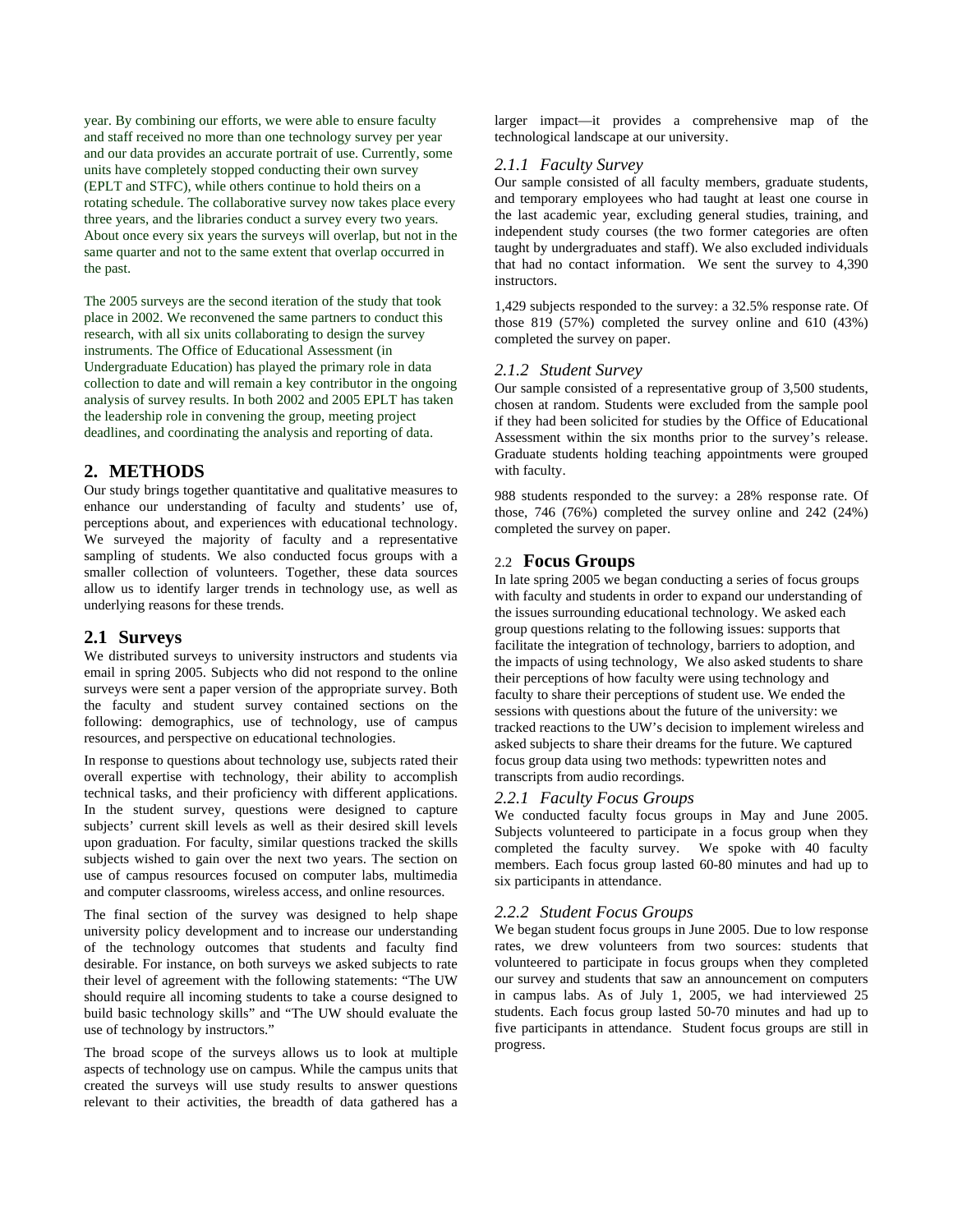year. By combining our efforts, we were able to ensure faculty and staff received no more than one technology survey per year and our data provides an accurate portrait of use. Currently, some units have completely stopped conducting their own survey (EPLT and STFC), while others continue to hold theirs on a rotating schedule. The collaborative survey now takes place every three years, and the libraries conduct a survey every two years. About once every six years the surveys will overlap, but not in the same quarter and not to the same extent that overlap occurred in the past.

The 2005 surveys are the second iteration of the study that took place in 2002. We reconvened the same partners to conduct this research, with all six units collaborating to design the survey instruments. The Office of Educational Assessment (in Undergraduate Education) has played the primary role in data collection to date and will remain a key contributor in the ongoing analysis of survey results. In both 2002 and 2005 EPLT has taken the leadership role in convening the group, meeting project deadlines, and coordinating the analysis and reporting of data.

# **2. METHODS**

Our study brings together quantitative and qualitative measures to enhance our understanding of faculty and students' use of, perceptions about, and experiences with educational technology. We surveyed the majority of faculty and a representative sampling of students. We also conducted focus groups with a smaller collection of volunteers. Together, these data sources allow us to identify larger trends in technology use, as well as underlying reasons for these trends.

# **2.1 Surveys**

We distributed surveys to university instructors and students via email in spring 2005. Subjects who did not respond to the online surveys were sent a paper version of the appropriate survey. Both the faculty and student survey contained sections on the following: demographics, use of technology, use of campus resources, and perspective on educational technologies.

In response to questions about technology use, subjects rated their overall expertise with technology, their ability to accomplish technical tasks, and their proficiency with different applications. In the student survey, questions were designed to capture subjects' current skill levels as well as their desired skill levels upon graduation. For faculty, similar questions tracked the skills subjects wished to gain over the next two years. The section on use of campus resources focused on computer labs, multimedia and computer classrooms, wireless access, and online resources.

The final section of the survey was designed to help shape university policy development and to increase our understanding of the technology outcomes that students and faculty find desirable. For instance, on both surveys we asked subjects to rate their level of agreement with the following statements: "The UW should require all incoming students to take a course designed to build basic technology skills" and "The UW should evaluate the use of technology by instructors."

The broad scope of the surveys allows us to look at multiple aspects of technology use on campus. While the campus units that created the surveys will use study results to answer questions relevant to their activities, the breadth of data gathered has a

larger impact—it provides a comprehensive map of the technological landscape at our university.

## *2.1.1 Faculty Survey*

Our sample consisted of all faculty members, graduate students, and temporary employees who had taught at least one course in the last academic year, excluding general studies, training, and independent study courses (the two former categories are often taught by undergraduates and staff). We also excluded individuals that had no contact information. We sent the survey to 4,390 instructors.

1,429 subjects responded to the survey: a 32.5% response rate. Of those 819 (57%) completed the survey online and 610 (43%) completed the survey on paper.

## *2.1.2 Student Survey*

Our sample consisted of a representative group of 3,500 students, chosen at random. Students were excluded from the sample pool if they had been solicited for studies by the Office of Educational Assessment within the six months prior to the survey's release. Graduate students holding teaching appointments were grouped with faculty.

988 students responded to the survey: a 28% response rate. Of those, 746 (76%) completed the survey online and 242 (24%) completed the survey on paper.

# 2.2 **Focus Groups**

In late spring 2005 we began conducting a series of focus groups with faculty and students in order to expand our understanding of the issues surrounding educational technology. We asked each group questions relating to the following issues: supports that facilitate the integration of technology, barriers to adoption, and the impacts of using technology, We also asked students to share their perceptions of how faculty were using technology and faculty to share their perceptions of student use. We ended the sessions with questions about the future of the university: we tracked reactions to the UW's decision to implement wireless and asked subjects to share their dreams for the future. We captured focus group data using two methods: typewritten notes and transcripts from audio recordings.

## *2.2.1 Faculty Focus Groups*

We conducted faculty focus groups in May and June 2005. Subjects volunteered to participate in a focus group when they completed the faculty survey. We spoke with 40 faculty members. Each focus group lasted 60-80 minutes and had up to six participants in attendance.

## *2.2.2 Student Focus Groups*

We began student focus groups in June 2005. Due to low response rates, we drew volunteers from two sources: students that volunteered to participate in focus groups when they completed our survey and students that saw an announcement on computers in campus labs. As of July 1, 2005, we had interviewed 25 students. Each focus group lasted 50-70 minutes and had up to five participants in attendance. Student focus groups are still in progress.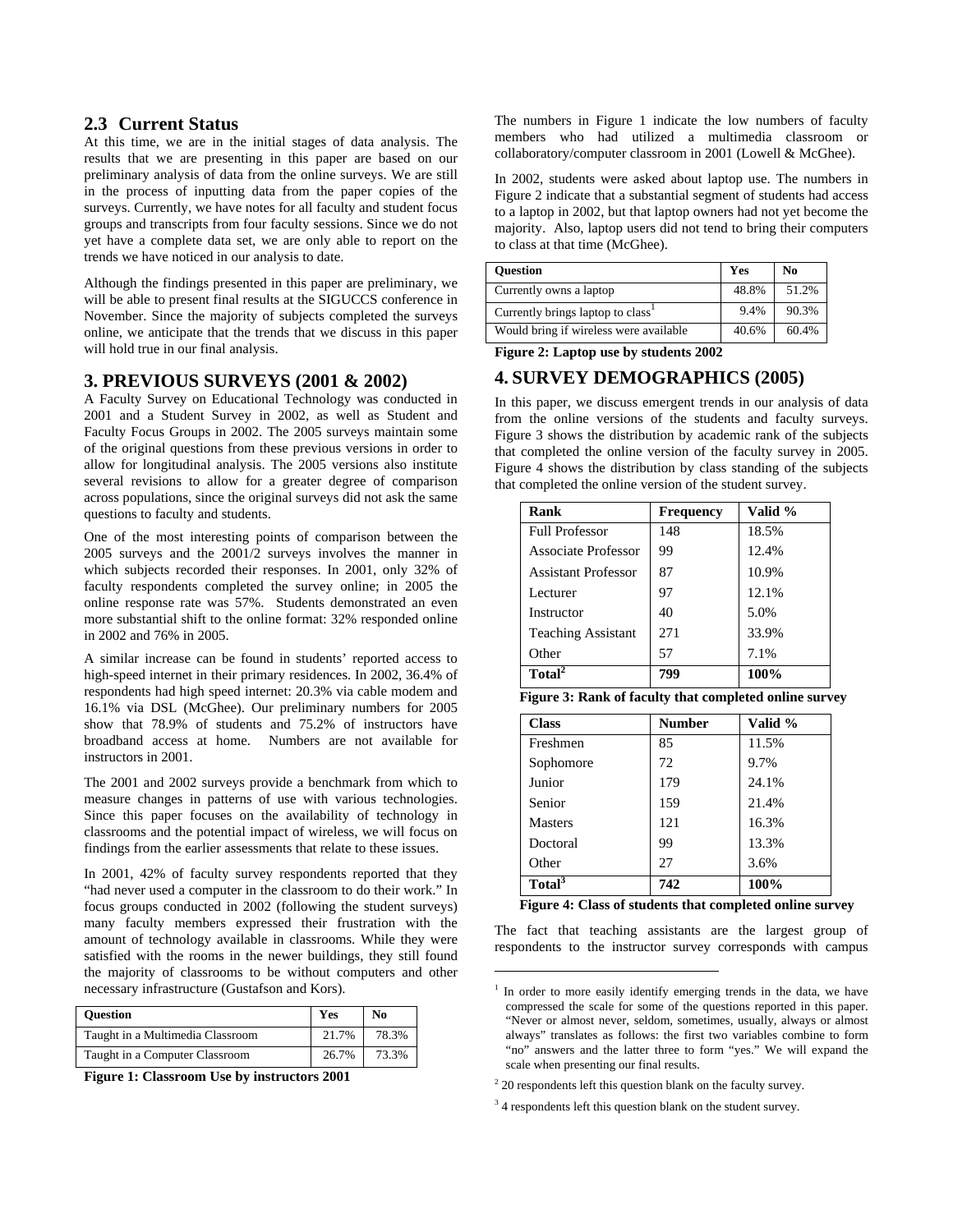## **2.3 Current Status**

At this time, we are in the initial stages of data analysis. The results that we are presenting in this paper are based on our preliminary analysis of data from the online surveys. We are still in the process of inputting data from the paper copies of the surveys. Currently, we have notes for all faculty and student focus groups and transcripts from four faculty sessions. Since we do not yet have a complete data set, we are only able to report on the trends we have noticed in our analysis to date.

Although the findings presented in this paper are preliminary, we will be able to present final results at the SIGUCCS conference in November. Since the majority of subjects completed the surveys online, we anticipate that the trends that we discuss in this paper will hold true in our final analysis.

## **3. PREVIOUS SURVEYS (2001 & 2002)**

A Faculty Survey on Educational Technology was conducted in 2001 and a Student Survey in 2002, as well as Student and Faculty Focus Groups in 2002. The 2005 surveys maintain some of the original questions from these previous versions in order to allow for longitudinal analysis. The 2005 versions also institute several revisions to allow for a greater degree of comparison across populations, since the original surveys did not ask the same questions to faculty and students.

One of the most interesting points of comparison between the 2005 surveys and the 2001/2 surveys involves the manner in which subjects recorded their responses. In 2001, only 32% of faculty respondents completed the survey online; in 2005 the online response rate was 57%. Students demonstrated an even more substantial shift to the online format: 32% responded online in 2002 and 76% in 2005.

A similar increase can be found in students' reported access to high-speed internet in their primary residences. In 2002, 36.4% of respondents had high speed internet: 20.3% via cable modem and 16.1% via DSL (McGhee). Our preliminary numbers for 2005 show that 78.9% of students and 75.2% of instructors have broadband access at home. Numbers are not available for instructors in 2001.

The 2001 and 2002 surveys provide a benchmark from which to measure changes in patterns of use with various technologies. Since this paper focuses on the availability of technology in classrooms and the potential impact of wireless, we will focus on findings from the earlier assessments that relate to these issues.

In 2001, 42% of faculty survey respondents reported that they "had never used a computer in the classroom to do their work." In focus groups conducted in 2002 (following the student surveys) many faculty members expressed their frustration with the amount of technology available in classrooms. While they were satisfied with the rooms in the newer buildings, they still found the majority of classrooms to be without computers and other necessary infrastructure (Gustafson and Kors).

| <b>Ouestion</b>                  | Yes   | No    |
|----------------------------------|-------|-------|
| Taught in a Multimedia Classroom | 21.7% | 78.3% |
| Taught in a Computer Classroom   | 26.7% | 73.3% |

**Figure 1: Classroom Use by instructors 2001** 

The numbers in Figure 1 indicate the low numbers of faculty members who had utilized a multimedia classroom or collaboratory/computer classroom in 2001 (Lowell & McGhee).

In 2002, students were asked about laptop use. The numbers in Figure 2 indicate that a substantial segment of students had access to a laptop in 2002, but that laptop owners had not yet become the majority. Also, laptop users did not tend to bring their computers to class at that time (McGhee).

| <b>Ouestion</b>                        | Yes   | N <sub>0</sub> |
|----------------------------------------|-------|----------------|
| Currently owns a laptop                | 48.8% | 51.2%          |
| Currently brings laptop to class       | 9.4%  | 90.3%          |
| Would bring if wireless were available | 40.6% | 60.4%          |

**Figure 2: Laptop use by students 2002** 

# **4. SURVEY DEMOGRAPHICS (2005)**

In this paper, we discuss emergent trends in our analysis of data from the online versions of the students and faculty surveys. Figure 3 shows the distribution by academic rank of the subjects that completed the online version of the faculty survey in 2005. Figure 4 shows the distribution by class standing of the subjects that completed the online version of the student survey.

| Rank                       | <b>Frequency</b> | Valid % |
|----------------------------|------------------|---------|
| <b>Full Professor</b>      | 148              | 18.5%   |
| Associate Professor        | 99               | 12.4%   |
| <b>Assistant Professor</b> | 87               | 10.9%   |
| Lecturer                   | 97               | 12.1%   |
| Instructor                 | 40               | 5.0%    |
| <b>Teaching Assistant</b>  | 271              | 33.9%   |
| Other                      | 57               | 7.1%    |
| Total <sup>2</sup>         | 799              | 100%    |

| Figure 3: Rank of faculty that completed online survey |  |  |  |  |  |
|--------------------------------------------------------|--|--|--|--|--|
|                                                        |  |  |  |  |  |

| <b>Class</b>       | <b>Number</b> | Valid % |
|--------------------|---------------|---------|
| Freshmen           | 85            | 11.5%   |
| Sophomore          | 72            | 9.7%    |
| Junior             | 179           | 24.1%   |
| Senior             | 159           | 21.4%   |
| <b>Masters</b>     | 121           | 16.3%   |
| Doctoral           | 99            | 13.3%   |
| Other              | 27            | 3.6%    |
| Total <sup>3</sup> | 742           | 100%    |

 **Figure 4: Class of students that completed online survey** 

The fact that teaching assistants are the largest group of respondents to the instructor survey corresponds with campus

1

<sup>&</sup>lt;sup>1</sup> In order to more easily identify emerging trends in the data, we have compressed the scale for some of the questions reported in this paper. "Never or almost never, seldom, sometimes, usually, always or almost always" translates as follows: the first two variables combine to form "no" answers and the latter three to form "yes." We will expand the scale when presenting our final results.

<sup>&</sup>lt;sup>2</sup> 20 respondents left this question blank on the faculty survey.

<sup>&</sup>lt;sup>3</sup> 4 respondents left this question blank on the student survey.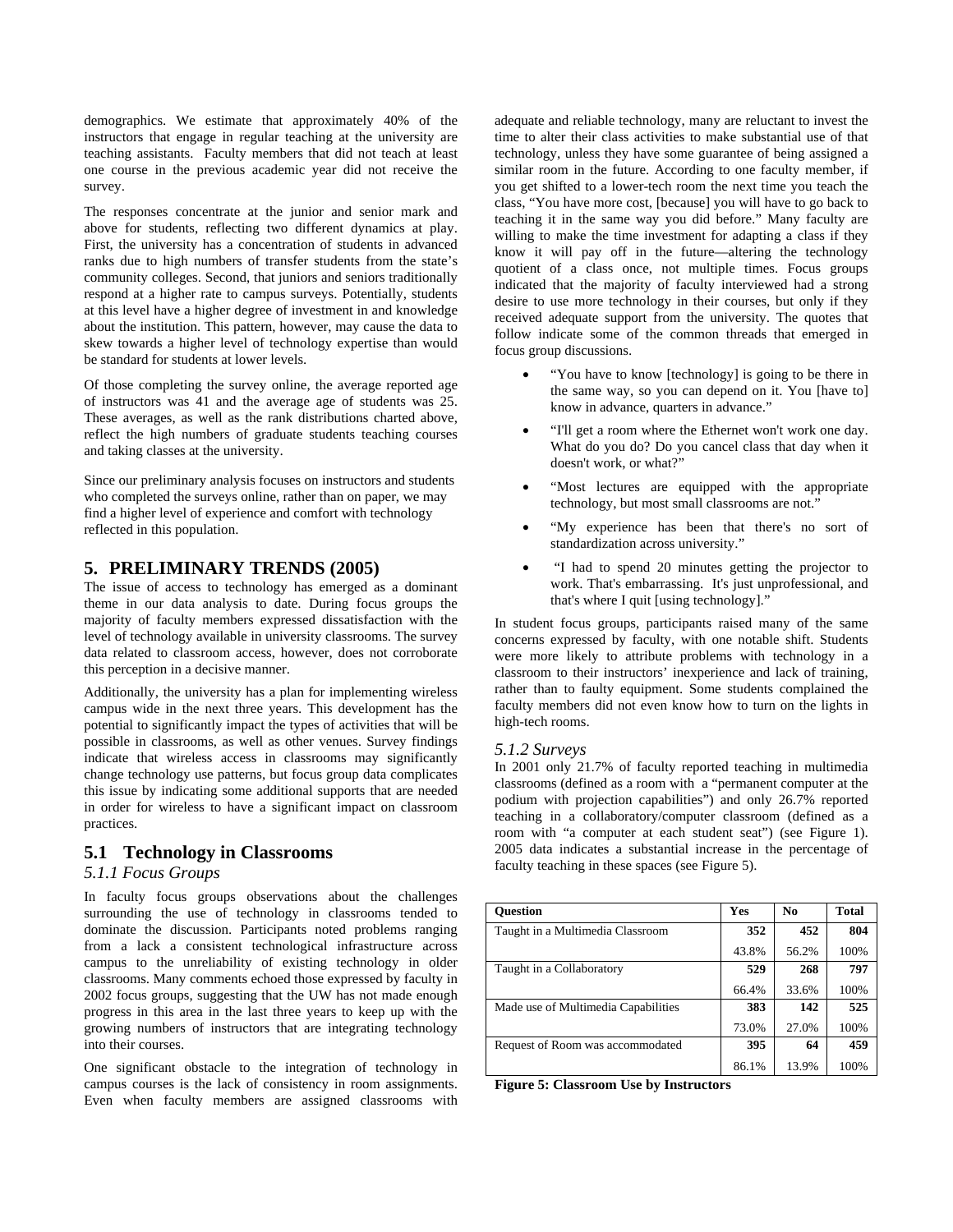demographics. We estimate that approximately 40% of the instructors that engage in regular teaching at the university are teaching assistants. Faculty members that did not teach at least one course in the previous academic year did not receive the survey.

The responses concentrate at the junior and senior mark and above for students, reflecting two different dynamics at play. First, the university has a concentration of students in advanced ranks due to high numbers of transfer students from the state's community colleges. Second, that juniors and seniors traditionally respond at a higher rate to campus surveys. Potentially, students at this level have a higher degree of investment in and knowledge about the institution. This pattern, however, may cause the data to skew towards a higher level of technology expertise than would be standard for students at lower levels.

Of those completing the survey online, the average reported age of instructors was 41 and the average age of students was 25. These averages, as well as the rank distributions charted above, reflect the high numbers of graduate students teaching courses and taking classes at the university.

Since our preliminary analysis focuses on instructors and students who completed the surveys online, rather than on paper, we may find a higher level of experience and comfort with technology reflected in this population.

# **5. PRELIMINARY TRENDS (2005)**

The issue of access to technology has emerged as a dominant theme in our data analysis to date. During focus groups the majority of faculty members expressed dissatisfaction with the level of technology available in university classrooms. The survey data related to classroom access, however, does not corroborate this perception in a decisive manner.

Additionally, the university has a plan for implementing wireless campus wide in the next three years. This development has the potential to significantly impact the types of activities that will be possible in classrooms, as well as other venues. Survey findings indicate that wireless access in classrooms may significantly change technology use patterns, but focus group data complicates this issue by indicating some additional supports that are needed in order for wireless to have a significant impact on classroom practices.

## **5.1 Technology in Classrooms**

## *5.1.1 Focus Groups*

In faculty focus groups observations about the challenges surrounding the use of technology in classrooms tended to dominate the discussion. Participants noted problems ranging from a lack a consistent technological infrastructure across campus to the unreliability of existing technology in older classrooms. Many comments echoed those expressed by faculty in 2002 focus groups, suggesting that the UW has not made enough progress in this area in the last three years to keep up with the growing numbers of instructors that are integrating technology into their courses.

One significant obstacle to the integration of technology in campus courses is the lack of consistency in room assignments. Even when faculty members are assigned classrooms with

adequate and reliable technology, many are reluctant to invest the time to alter their class activities to make substantial use of that technology, unless they have some guarantee of being assigned a similar room in the future. According to one faculty member, if you get shifted to a lower-tech room the next time you teach the class, "You have more cost, [because] you will have to go back to teaching it in the same way you did before." Many faculty are willing to make the time investment for adapting a class if they know it will pay off in the future—altering the technology quotient of a class once, not multiple times. Focus groups indicated that the majority of faculty interviewed had a strong desire to use more technology in their courses, but only if they received adequate support from the university. The quotes that follow indicate some of the common threads that emerged in focus group discussions.

- "You have to know [technology] is going to be there in the same way, so you can depend on it. You [have to] know in advance, quarters in advance."
- "I'll get a room where the Ethernet won't work one day. What do you do? Do you cancel class that day when it doesn't work, or what?"
- "Most lectures are equipped with the appropriate technology, but most small classrooms are not."
- "My experience has been that there's no sort of standardization across university."
- "I had to spend 20 minutes getting the projector to work. That's embarrassing. It's just unprofessional, and that's where I quit [using technology]."

In student focus groups, participants raised many of the same concerns expressed by faculty, with one notable shift. Students were more likely to attribute problems with technology in a classroom to their instructors' inexperience and lack of training, rather than to faulty equipment. Some students complained the faculty members did not even know how to turn on the lights in high-tech rooms.

#### *5.1.2 Surveys*

In 2001 only 21.7% of faculty reported teaching in multimedia classrooms (defined as a room with a "permanent computer at the podium with projection capabilities") and only 26.7% reported teaching in a collaboratory/computer classroom (defined as a room with "a computer at each student seat") (see Figure 1). 2005 data indicates a substantial increase in the percentage of faculty teaching in these spaces (see Figure 5).

| <b>Ouestion</b>                     | <b>Yes</b> | No    | <b>Total</b> |
|-------------------------------------|------------|-------|--------------|
| Taught in a Multimedia Classroom    | 352        | 452   | 804          |
|                                     | 43.8%      | 56.2% | 100%         |
| Taught in a Collaboratory           | 529        | 268   | 797          |
|                                     | 66.4%      | 33.6% | 100%         |
| Made use of Multimedia Capabilities | 383        | 142   | 525          |
|                                     | 73.0%      | 27.0% | 100%         |
| Request of Room was accommodated    | 395        | 64    | 459          |
|                                     | 86.1%      | 13.9% | 100%         |

**Figure 5: Classroom Use by Instructors**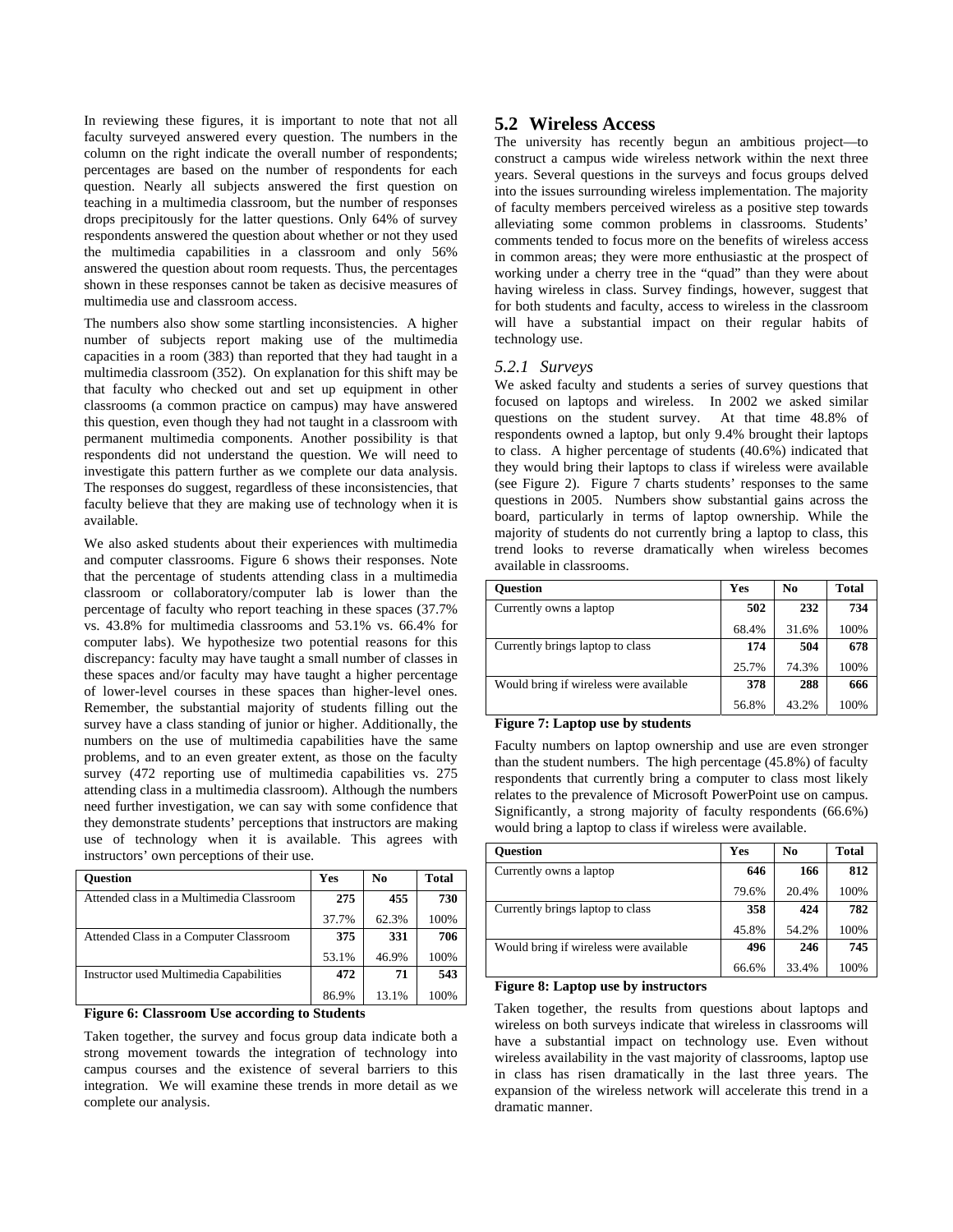In reviewing these figures, it is important to note that not all faculty surveyed answered every question. The numbers in the column on the right indicate the overall number of respondents; percentages are based on the number of respondents for each question. Nearly all subjects answered the first question on teaching in a multimedia classroom, but the number of responses drops precipitously for the latter questions. Only 64% of survey respondents answered the question about whether or not they used the multimedia capabilities in a classroom and only 56% answered the question about room requests. Thus, the percentages shown in these responses cannot be taken as decisive measures of multimedia use and classroom access.

The numbers also show some startling inconsistencies. A higher number of subjects report making use of the multimedia capacities in a room (383) than reported that they had taught in a multimedia classroom (352). On explanation for this shift may be that faculty who checked out and set up equipment in other classrooms (a common practice on campus) may have answered this question, even though they had not taught in a classroom with permanent multimedia components. Another possibility is that respondents did not understand the question. We will need to investigate this pattern further as we complete our data analysis. The responses do suggest, regardless of these inconsistencies, that faculty believe that they are making use of technology when it is available.

We also asked students about their experiences with multimedia and computer classrooms. Figure 6 shows their responses. Note that the percentage of students attending class in a multimedia classroom or collaboratory/computer lab is lower than the percentage of faculty who report teaching in these spaces (37.7% vs. 43.8% for multimedia classrooms and 53.1% vs. 66.4% for computer labs). We hypothesize two potential reasons for this discrepancy: faculty may have taught a small number of classes in these spaces and/or faculty may have taught a higher percentage of lower-level courses in these spaces than higher-level ones. Remember, the substantial majority of students filling out the survey have a class standing of junior or higher. Additionally, the numbers on the use of multimedia capabilities have the same problems, and to an even greater extent, as those on the faculty survey (472 reporting use of multimedia capabilities vs. 275 attending class in a multimedia classroom). Although the numbers need further investigation, we can say with some confidence that they demonstrate students' perceptions that instructors are making use of technology when it is available. This agrees with instructors' own perceptions of their use.

| <b>Ouestion</b>                          | Yes   | No    | Total |
|------------------------------------------|-------|-------|-------|
| Attended class in a Multimedia Classroom | 275   | 455   | 730   |
|                                          | 37.7% | 62.3% | 100%  |
| Attended Class in a Computer Classroom   | 375   | 331   | 706   |
|                                          | 53.1% | 46.9% | 100%  |
| Instructor used Multimedia Capabilities  | 472   | 71    | 543   |
|                                          | 86.9% | 13.1% | 100%  |

#### **Figure 6: Classroom Use according to Students**

Taken together, the survey and focus group data indicate both a strong movement towards the integration of technology into campus courses and the existence of several barriers to this integration. We will examine these trends in more detail as we complete our analysis.

## **5.2 Wireless Access**

The university has recently begun an ambitious project—to construct a campus wide wireless network within the next three years. Several questions in the surveys and focus groups delved into the issues surrounding wireless implementation. The majority of faculty members perceived wireless as a positive step towards alleviating some common problems in classrooms. Students' comments tended to focus more on the benefits of wireless access in common areas; they were more enthusiastic at the prospect of working under a cherry tree in the "quad" than they were about having wireless in class. Survey findings, however, suggest that for both students and faculty, access to wireless in the classroom will have a substantial impact on their regular habits of technology use.

#### *5.2.1 Surveys*

We asked faculty and students a series of survey questions that focused on laptops and wireless. In 2002 we asked similar questions on the student survey. At that time 48.8% of respondents owned a laptop, but only 9.4% brought their laptops to class. A higher percentage of students (40.6%) indicated that they would bring their laptops to class if wireless were available (see Figure 2). Figure 7 charts students' responses to the same questions in 2005. Numbers show substantial gains across the board, particularly in terms of laptop ownership. While the majority of students do not currently bring a laptop to class, this trend looks to reverse dramatically when wireless becomes available in classrooms.

| <b>Ouestion</b>                        | Yes   | No    | Total |
|----------------------------------------|-------|-------|-------|
| Currently owns a laptop                | 502   | 232   | 734   |
|                                        | 68.4% | 31.6% | 100%  |
| Currently brings laptop to class       | 174   | 504   | 678   |
|                                        | 25.7% | 74.3% | 100%  |
| Would bring if wireless were available | 378   | 288   | 666   |
|                                        | 56.8% | 43.2% | 100%  |

#### **Figure 7: Laptop use by students**

Faculty numbers on laptop ownership and use are even stronger than the student numbers. The high percentage (45.8%) of faculty respondents that currently bring a computer to class most likely relates to the prevalence of Microsoft PowerPoint use on campus. Significantly, a strong majority of faculty respondents (66.6%) would bring a laptop to class if wireless were available.

| <b>Ouestion</b>                        | Yes   | N <sub>0</sub> | <b>Total</b> |
|----------------------------------------|-------|----------------|--------------|
| Currently owns a laptop                | 646   | 166            | 812          |
|                                        | 79.6% | 20.4%          | 100%         |
| Currently brings laptop to class       | 358   | 424            | 782          |
|                                        | 45.8% | 54.2%          | 100%         |
| Would bring if wireless were available | 496   | 246            | 745          |
|                                        | 66.6% | 33.4%          | 100%         |

#### **Figure 8: Laptop use by instructors**

Taken together, the results from questions about laptops and wireless on both surveys indicate that wireless in classrooms will have a substantial impact on technology use. Even without wireless availability in the vast majority of classrooms, laptop use in class has risen dramatically in the last three years. The expansion of the wireless network will accelerate this trend in a dramatic manner.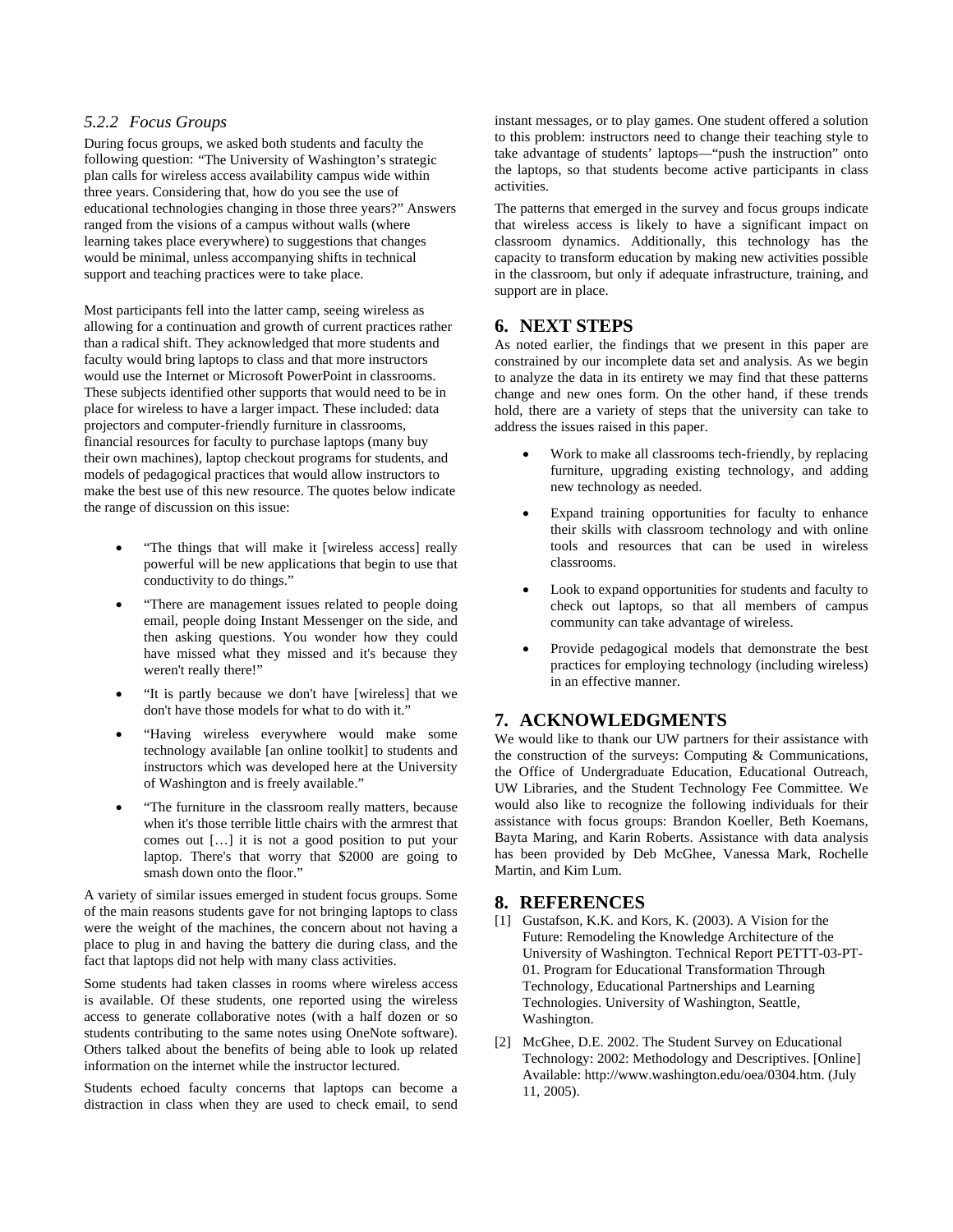## *5.2.2 Focus Groups*

During focus groups, we asked both students and faculty the following question: "The University of Washington's strategic plan calls for wireless access availability campus wide within three years. Considering that, how do you see the use of educational technologies changing in those three years?" Answers ranged from the visions of a campus without walls (where learning takes place everywhere) to suggestions that changes would be minimal, unless accompanying shifts in technical support and teaching practices were to take place.

Most participants fell into the latter camp, seeing wireless as allowing for a continuation and growth of current practices rather than a radical shift. They acknowledged that more students and faculty would bring laptops to class and that more instructors would use the Internet or Microsoft PowerPoint in classrooms. These subjects identified other supports that would need to be in place for wireless to have a larger impact. These included: data projectors and computer-friendly furniture in classrooms, financial resources for faculty to purchase laptops (many buy their own machines), laptop checkout programs for students, and models of pedagogical practices that would allow instructors to make the best use of this new resource. The quotes below indicate the range of discussion on this issue:

- "The things that will make it [wireless access] really powerful will be new applications that begin to use that conductivity to do things."
- "There are management issues related to people doing email, people doing Instant Messenger on the side, and then asking questions. You wonder how they could have missed what they missed and it's because they weren't really there!"
- "It is partly because we don't have [wireless] that we don't have those models for what to do with it."
- "Having wireless everywhere would make some technology available [an online toolkit] to students and instructors which was developed here at the University of Washington and is freely available."
- "The furniture in the classroom really matters, because when it's those terrible little chairs with the armrest that comes out […] it is not a good position to put your laptop. There's that worry that \$2000 are going to smash down onto the floor."

A variety of similar issues emerged in student focus groups. Some of the main reasons students gave for not bringing laptops to class were the weight of the machines, the concern about not having a place to plug in and having the battery die during class, and the fact that laptops did not help with many class activities.

Some students had taken classes in rooms where wireless access is available. Of these students, one reported using the wireless access to generate collaborative notes (with a half dozen or so students contributing to the same notes using OneNote software). Others talked about the benefits of being able to look up related information on the internet while the instructor lectured.

Students echoed faculty concerns that laptops can become a distraction in class when they are used to check email, to send instant messages, or to play games. One student offered a solution to this problem: instructors need to change their teaching style to take advantage of students' laptops—"push the instruction" onto the laptops, so that students become active participants in class activities.

The patterns that emerged in the survey and focus groups indicate that wireless access is likely to have a significant impact on classroom dynamics. Additionally, this technology has the capacity to transform education by making new activities possible in the classroom, but only if adequate infrastructure, training, and support are in place.

# **6. NEXT STEPS**

As noted earlier, the findings that we present in this paper are constrained by our incomplete data set and analysis. As we begin to analyze the data in its entirety we may find that these patterns change and new ones form. On the other hand, if these trends hold, there are a variety of steps that the university can take to address the issues raised in this paper.

- Work to make all classrooms tech-friendly, by replacing furniture, upgrading existing technology, and adding new technology as needed.
- Expand training opportunities for faculty to enhance their skills with classroom technology and with online tools and resources that can be used in wireless classrooms.
- Look to expand opportunities for students and faculty to check out laptops, so that all members of campus community can take advantage of wireless.
- Provide pedagogical models that demonstrate the best practices for employing technology (including wireless) in an effective manner.

# **7. ACKNOWLEDGMENTS**

We would like to thank our UW partners for their assistance with the construction of the surveys: Computing & Communications, the Office of Undergraduate Education, Educational Outreach, UW Libraries, and the Student Technology Fee Committee. We would also like to recognize the following individuals for their assistance with focus groups: Brandon Koeller, Beth Koemans, Bayta Maring, and Karin Roberts. Assistance with data analysis has been provided by Deb McGhee, Vanessa Mark, Rochelle Martin, and Kim Lum.

# **8. REFERENCES**

- [1] Gustafson, K.K. and Kors, K. (2003). A Vision for the Future: Remodeling the Knowledge Architecture of the University of Washington. Technical Report PETTT-03-PT-01. Program for Educational Transformation Through Technology, Educational Partnerships and Learning Technologies. University of Washington, Seattle, Washington.
- [2] McGhee, D.E. 2002. The Student Survey on Educational Technology: 2002: Methodology and Descriptives. [Online] Available: http://www.washington.edu/oea/0304.htm. (July 11, 2005).